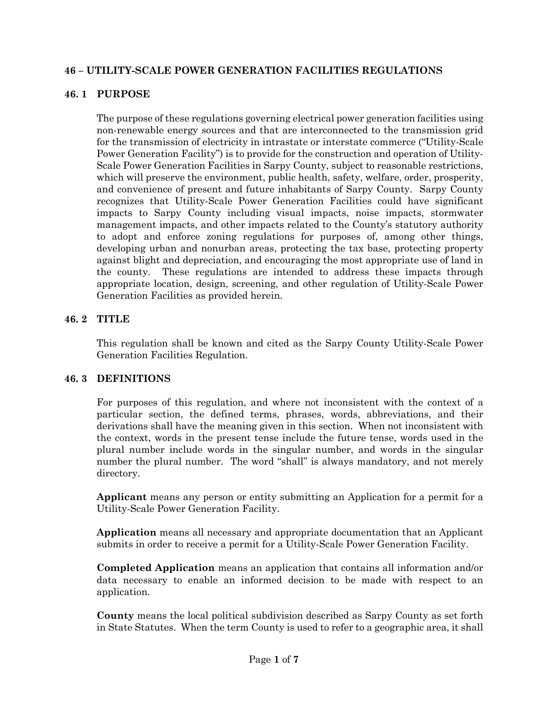### **46 – UTILITY-SCALE POWER GENERATION FACILITIES REGULATIONS**

### **46. 1 PURPOSE**

The purpose of these regulations governing electrical power generation facilities using non-renewable energy sources and that are interconnected to the transmission grid for the transmission of electricity in intrastate or interstate commerce ("Utility-Scale Power Generation Facility") is to provide for the construction and operation of Utility-Scale Power Generation Facilities in Sarpy County, subject to reasonable restrictions, which will preserve the environment, public health, safety, welfare, order, prosperity, and convenience of present and future inhabitants of Sarpy County. Sarpy County recognizes that Utility-Scale Power Generation Facilities could have significant impacts to Sarpy County including visual impacts, noise impacts, stormwater management impacts, and other impacts related to the County's statutory authority to adopt and enforce zoning regulations for purposes of, among other things, developing urban and nonurban areas, protecting the tax base, protecting property against blight and depreciation, and encouraging the most appropriate use of land in the county. These regulations are intended to address these impacts through appropriate location, design, screening, and other regulation of Utility-Scale Power Generation Facilities as provided herein.

### **46. 2 TITLE**

This regulation shall be known and cited as the Sarpy County Utility-Scale Power Generation Facilities Regulation.

#### **46. 3 DEFINITIONS**

For purposes of this regulation, and where not inconsistent with the context of a particular section, the defined terms, phrases, words, abbreviations, and their derivations shall have the meaning given in this section. When not inconsistent with the context, words in the present tense include the future tense, words used in the plural number include words in the singular number, and words in the singular number the plural number. The word "shall" is always mandatory, and not merely directory.

**Applicant** means any person or entity submitting an Application for a permit for a Utility-Scale Power Generation Facility.

**Application** means all necessary and appropriate documentation that an Applicant submits in order to receive a permit for a Utility-Scale Power Generation Facility.

**Completed Application** means an application that contains all information and/or data necessary to enable an informed decision to be made with respect to an application.

**County** means the local political subdivision described as Sarpy County as set forth in State Statutes. When the term County is used to refer to a geographic area, it shall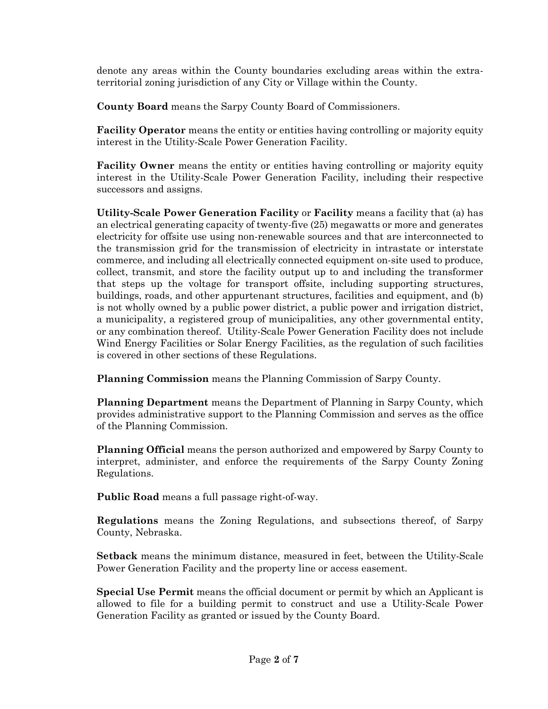denote any areas within the County boundaries excluding areas within the extraterritorial zoning jurisdiction of any City or Village within the County.

**County Board** means the Sarpy County Board of Commissioners.

**Facility Operator** means the entity or entities having controlling or majority equity interest in the Utility-Scale Power Generation Facility.

**Facility Owner** means the entity or entities having controlling or majority equity interest in the Utility-Scale Power Generation Facility, including their respective successors and assigns.

**Utility-Scale Power Generation Facility** or **Facility** means a facility that (a) has an electrical generating capacity of twenty-five (25) megawatts or more and generates electricity for offsite use using non-renewable sources and that are interconnected to the transmission grid for the transmission of electricity in intrastate or interstate commerce, and including all electrically connected equipment on-site used to produce, collect, transmit, and store the facility output up to and including the transformer that steps up the voltage for transport offsite, including supporting structures, buildings, roads, and other appurtenant structures, facilities and equipment, and (b) is not wholly owned by a public power district, a public power and irrigation district, a municipality, a registered group of municipalities, any other governmental entity, or any combination thereof. Utility-Scale Power Generation Facility does not include Wind Energy Facilities or Solar Energy Facilities, as the regulation of such facilities is covered in other sections of these Regulations.

**Planning Commission** means the Planning Commission of Sarpy County.

**Planning Department** means the Department of Planning in Sarpy County, which provides administrative support to the Planning Commission and serves as the office of the Planning Commission.

**Planning Official** means the person authorized and empowered by Sarpy County to interpret, administer, and enforce the requirements of the Sarpy County Zoning Regulations.

**Public Road** means a full passage right-of-way.

**Regulations** means the Zoning Regulations, and subsections thereof, of Sarpy County, Nebraska.

**Setback** means the minimum distance, measured in feet, between the Utility-Scale Power Generation Facility and the property line or access easement.

**Special Use Permit** means the official document or permit by which an Applicant is allowed to file for a building permit to construct and use a Utility-Scale Power Generation Facility as granted or issued by the County Board.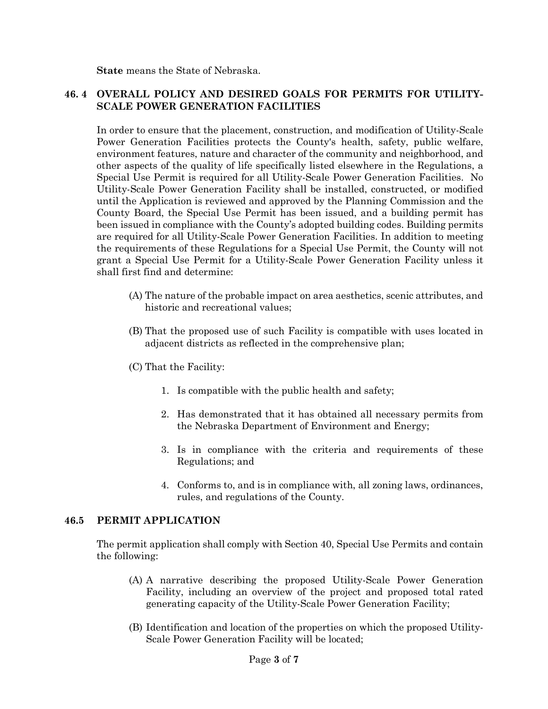**State** means the State of Nebraska.

### **46. 4 OVERALL POLICY AND DESIRED GOALS FOR PERMITS FOR UTILITY-SCALE POWER GENERATION FACILITIES**

In order to ensure that the placement, construction, and modification of Utility-Scale Power Generation Facilities protects the County's health, safety, public welfare, environment features, nature and character of the community and neighborhood, and other aspects of the quality of life specifically listed elsewhere in the Regulations, a Special Use Permit is required for all Utility-Scale Power Generation Facilities. No Utility-Scale Power Generation Facility shall be installed, constructed, or modified until the Application is reviewed and approved by the Planning Commission and the County Board, the Special Use Permit has been issued, and a building permit has been issued in compliance with the County's adopted building codes. Building permits are required for all Utility-Scale Power Generation Facilities. In addition to meeting the requirements of these Regulations for a Special Use Permit, the County will not grant a Special Use Permit for a Utility-Scale Power Generation Facility unless it shall first find and determine:

- (A) The nature of the probable impact on area aesthetics, scenic attributes, and historic and recreational values;
- (B) That the proposed use of such Facility is compatible with uses located in adjacent districts as reflected in the comprehensive plan;
- (C) That the Facility:
	- 1. Is compatible with the public health and safety;
	- 2. Has demonstrated that it has obtained all necessary permits from the Nebraska Department of Environment and Energy;
	- 3. Is in compliance with the criteria and requirements of these Regulations; and
	- 4. Conforms to, and is in compliance with, all zoning laws, ordinances, rules, and regulations of the County.

#### **46.5 PERMIT APPLICATION**

The permit application shall comply with Section 40, Special Use Permits and contain the following:

- (A) A narrative describing the proposed Utility-Scale Power Generation Facility, including an overview of the project and proposed total rated generating capacity of the Utility-Scale Power Generation Facility;
- (B) Identification and location of the properties on which the proposed Utility-Scale Power Generation Facility will be located;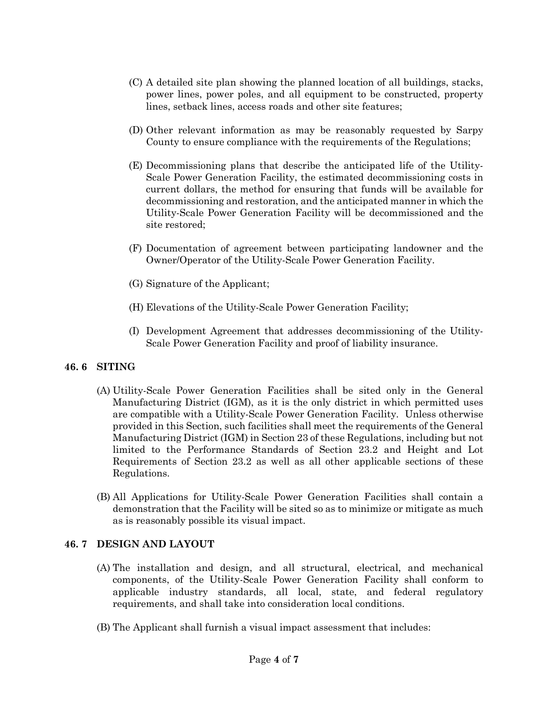- (C) A detailed site plan showing the planned location of all buildings, stacks, power lines, power poles, and all equipment to be constructed, property lines, setback lines, access roads and other site features;
- (D) Other relevant information as may be reasonably requested by Sarpy County to ensure compliance with the requirements of the Regulations;
- (E) Decommissioning plans that describe the anticipated life of the Utility-Scale Power Generation Facility, the estimated decommissioning costs in current dollars, the method for ensuring that funds will be available for decommissioning and restoration, and the anticipated manner in which the Utility-Scale Power Generation Facility will be decommissioned and the site restored;
- (F) Documentation of agreement between participating landowner and the Owner/Operator of the Utility-Scale Power Generation Facility.
- (G) Signature of the Applicant;
- (H) Elevations of the Utility-Scale Power Generation Facility;
- (I) Development Agreement that addresses decommissioning of the Utility-Scale Power Generation Facility and proof of liability insurance.

# **46. 6 SITING**

- (A) Utility-Scale Power Generation Facilities shall be sited only in the General Manufacturing District (IGM), as it is the only district in which permitted uses are compatible with a Utility-Scale Power Generation Facility. Unless otherwise provided in this Section, such facilities shall meet the requirements of the General Manufacturing District (IGM) in Section 23 of these Regulations, including but not limited to the Performance Standards of Section 23.2 and Height and Lot Requirements of Section 23.2 as well as all other applicable sections of these Regulations.
- (B) All Applications for Utility-Scale Power Generation Facilities shall contain a demonstration that the Facility will be sited so as to minimize or mitigate as much as is reasonably possible its visual impact.

# **46. 7 DESIGN AND LAYOUT**

- (A) The installation and design, and all structural, electrical, and mechanical components, of the Utility-Scale Power Generation Facility shall conform to applicable industry standards, all local, state, and federal regulatory requirements, and shall take into consideration local conditions.
- (B) The Applicant shall furnish a visual impact assessment that includes: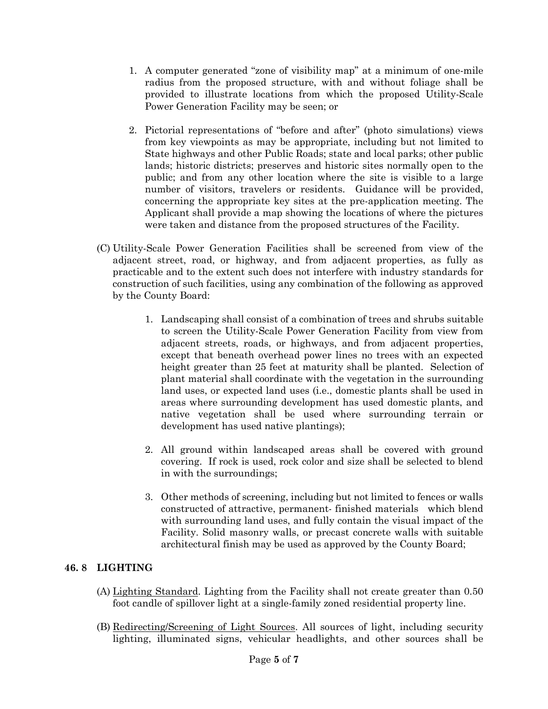- 1. A computer generated "zone of visibility map" at a minimum of one-mile radius from the proposed structure, with and without foliage shall be provided to illustrate locations from which the proposed Utility-Scale Power Generation Facility may be seen; or
- 2. Pictorial representations of "before and after" (photo simulations) views from key viewpoints as may be appropriate, including but not limited to State highways and other Public Roads; state and local parks; other public lands; historic districts; preserves and historic sites normally open to the public; and from any other location where the site is visible to a large number of visitors, travelers or residents. Guidance will be provided, concerning the appropriate key sites at the pre-application meeting. The Applicant shall provide a map showing the locations of where the pictures were taken and distance from the proposed structures of the Facility.
- (C) Utility-Scale Power Generation Facilities shall be screened from view of the adjacent street, road, or highway, and from adjacent properties, as fully as practicable and to the extent such does not interfere with industry standards for construction of such facilities, using any combination of the following as approved by the County Board:
	- 1. Landscaping shall consist of a combination of trees and shrubs suitable to screen the Utility-Scale Power Generation Facility from view from adjacent streets, roads, or highways, and from adjacent properties, except that beneath overhead power lines no trees with an expected height greater than 25 feet at maturity shall be planted. Selection of plant material shall coordinate with the vegetation in the surrounding land uses, or expected land uses (i.e., domestic plants shall be used in areas where surrounding development has used domestic plants, and native vegetation shall be used where surrounding terrain or development has used native plantings);
	- 2. All ground within landscaped areas shall be covered with ground covering. If rock is used, rock color and size shall be selected to blend in with the surroundings;
	- 3. Other methods of screening, including but not limited to fences or walls constructed of attractive, permanent- finished materials which blend with surrounding land uses, and fully contain the visual impact of the Facility. Solid masonry walls, or precast concrete walls with suitable architectural finish may be used as approved by the County Board;

# **46. 8 LIGHTING**

- (A) Lighting Standard. Lighting from the Facility shall not create greater than 0.50 foot candle of spillover light at a single-family zoned residential property line.
- (B) Redirecting/Screening of Light Sources. All sources of light, including security lighting, illuminated signs, vehicular headlights, and other sources shall be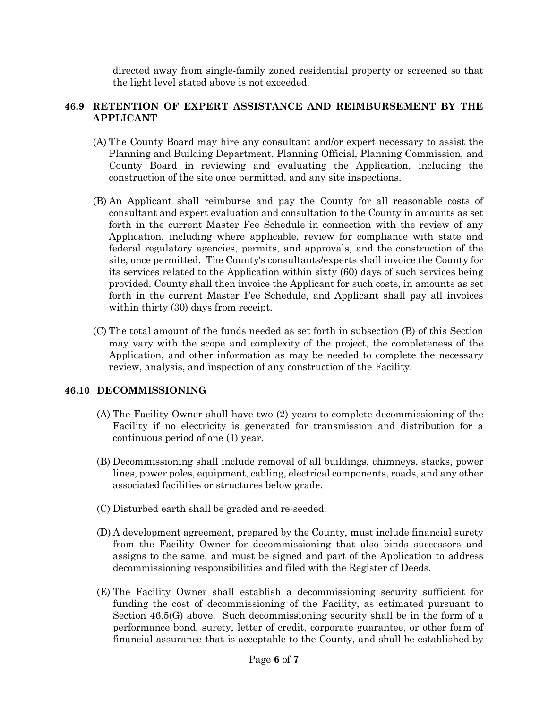directed away from single-family zoned residential property or screened so that the light level stated above is not exceeded.

# **46.9 RETENTION OF EXPERT ASSISTANCE AND REIMBURSEMENT BY THE APPLICANT**

- (A) The County Board may hire any consultant and/or expert necessary to assist the Planning and Building Department, Planning Official, Planning Commission, and County Board in reviewing and evaluating the Application, including the construction of the site once permitted, and any site inspections.
- (B) An Applicant shall reimburse and pay the County for all reasonable costs of consultant and expert evaluation and consultation to the County in amounts as set forth in the current Master Fee Schedule in connection with the review of any Application, including where applicable, review for compliance with state and federal regulatory agencies, permits, and approvals, and the construction of the site, once permitted. The County's consultants/experts shall invoice the County for its services related to the Application within sixty (60) days of such services being provided. County shall then invoice the Applicant for such costs, in amounts as set forth in the current Master Fee Schedule, and Applicant shall pay all invoices within thirty (30) days from receipt.
- (C) The total amount of the funds needed as set forth in subsection (B) of this Section may vary with the scope and complexity of the project, the completeness of the Application, and other information as may be needed to complete the necessary review, analysis, and inspection of any construction of the Facility.

#### **46.10 DECOMMISSIONING**

- (A) The Facility Owner shall have two (2) years to complete decommissioning of the Facility if no electricity is generated for transmission and distribution for a continuous period of one (1) year.
- (B) Decommissioning shall include removal of all buildings, chimneys, stacks, power lines, power poles, equipment, cabling, electrical components, roads, and any other associated facilities or structures below grade.
- (C) Disturbed earth shall be graded and re-seeded.
- (D) A development agreement, prepared by the County, must include financial surety from the Facility Owner for decommissioning that also binds successors and assigns to the same, and must be signed and part of the Application to address decommissioning responsibilities and filed with the Register of Deeds.
- (E) The Facility Owner shall establish a decommissioning security sufficient for funding the cost of decommissioning of the Facility, as estimated pursuant to Section 46.5(G) above. Such decommissioning security shall be in the form of a performance bond, surety, letter of credit, corporate guarantee, or other form of financial assurance that is acceptable to the County, and shall be established by